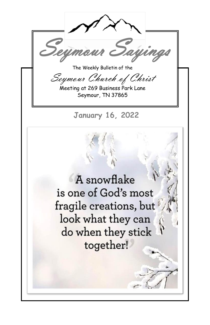The Weekly Bulletin of the

Say

Seymour Church of Christ

Meeting at 269 Business Park Lane Seymour, TN 37865

**January 16, 2022** 

A snowflake is one of God's most fragile creations, but look what they can do when they stick together!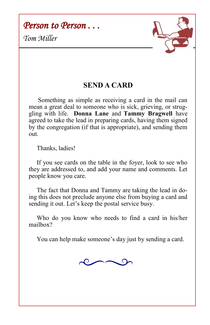*Person to Person . . .* 





## **SEND A CARD**

Something as simple as receiving a card in the mail can mean a great deal to someone who is sick, grieving, or struggling with life. **Donna Lane** and **Tammy Bragwell** have agreed to take the lead in preparing cards, having them signed by the congregation (if that is appropriate), and sending them out.

Thanks, ladies!

 If you see cards on the table in the foyer, look to see who they are addressed to, and add your name and comments. Let people know you care.

 The fact that Donna and Tammy are taking the lead in doing this does not preclude anyone else from buying a card and sending it out. Let's keep the postal service busy.

 Who do you know who needs to find a card in his/her mailbox?

You can help make someone's day just by sending a card.

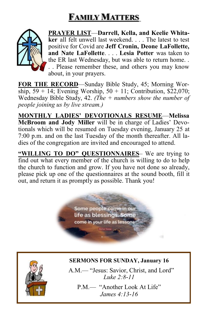# **FAMILY MATTERS**



**PRAYER LIST**—**Darrell, Kella, and Keelie Whitaker** all felt unwell last weekend. . . . The latest to test positive for Covid are **Jeff Cronin, Deone LaFollette, and Nate LaFollette**. . . . **Lesia Potter** was taken to the ER last Wednesday, but was able to return home. . . . Please remember these, and others you may know about, in your prayers.

**FOR THE RECORD**—Sunday Bible Study, 45; Morning Worship,  $59 + 14$ ; Evening Worship,  $50 + 11$ ; Contribution, \$22,070; Wednesday Bible Study, 42. *(The + numbers show the number of people joining us by live stream.)*

**MONTHLY LADIES' DEVOTIONALS RESUME**—**Melissa McBroom and Jody Miller** will be in charge of Ladies' Devotionals which will be resumed on Tuesday evening, January 25 at 7:00 p.m. and on the last Tuesday of the month thereafter. All ladies of the congregation are invited and encouraged to attend.

"WILLING TO DO" QUESTIONNAIRES- We are trying to find out what every member of the church is willing to do to help the church to function and grow. If you have not done so already, please pick up one of the questionnaires at the sound booth, fill it out, and return it as promptly as possible. Thank you!

> Some people come in our life as blessings. Some come in your life as lessons.

### **SERMONS FOR SUNDAY, January 16**

A.M.— "Jesus: Savior, Christ, and Lord" *Luke 2:8-11* 

P.M.— "Another Look At Life" *James 4:13-16*